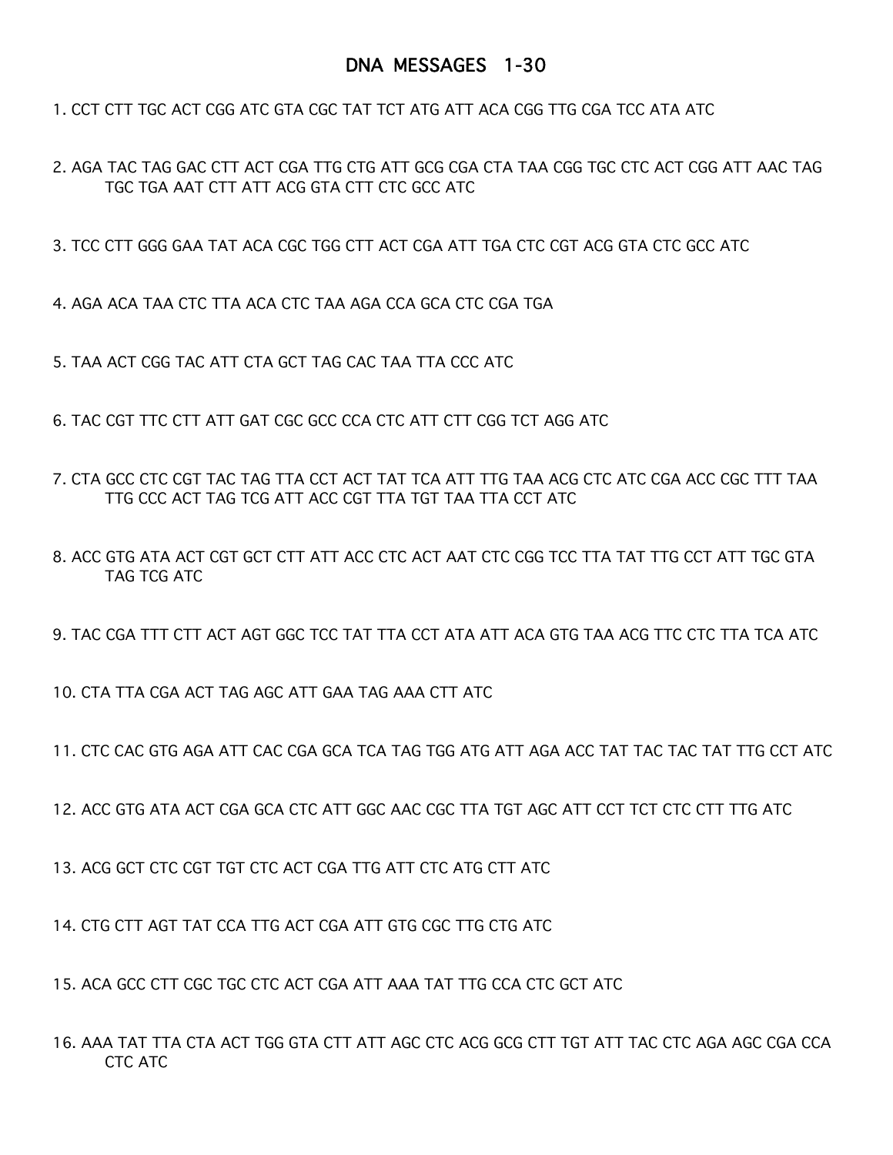## DNA MESSAGES 1-30

1. CCT CTT TGC ACT CGG ATC GTA CGC TAT TCT ATG ATT ACA CGG TTG CGA TCC ATA ATC

2. AGA TAC TAG GAC CTT ACT CGA TTG CTG ATT GCG CGA CTA TAA CGG TGC CTC ACT CGG ATT AAC TAG TGC TGA AAT CTT ATT ACG GTA CTT CTC GCC ATC

3. TCC CTT GGG GAA TAT ACA CGC TGG CTT ACT CGA ATT TGA CTC CGT ACG GTA CTC GCC ATC

4. AGA ACA TAA CTC TTA ACA CTC TAA AGA CCA GCA CTC CGA TGA

5. TAA ACT CGG TAC ATT CTA GCT TAG CAC TAA TTA CCC ATC

6. TAC CGT TTC CTT ATT GAT CGC GCC CCA CTC ATT CTT CGG TCT AGG ATC

7. CTA GCC CTC CGT TAC TAG TTA CCT ACT TAT TCA ATT TTG TAA ACG CTC ATC CGA ACC CGC TTT TAA TTG CCC ACT TAG TCG ATT ACC CGT TTA TGT TAA TTA CCT ATC

8. ACC GTG ATA ACT CGT GCT CTT ATT ACC CTC ACT AAT CTC CGG TCC TTA TAT TTG CCT ATT TGC GTA TAG TCG ATC

9. TAC CGA TTT CTT ACT AGT GGC TCC TAT TTA CCT ATA ATT ACA GTG TAA ACG TTC CTC TTA TCA ATC

10. CTA TTA CGA ACT TAG AGC ATT GAA TAG AAA CTT ATC

11. CTC CAC GTG AGA ATT CAC CGA GCA TCA TAG TGG ATG ATT AGA ACC TAT TAC TAC TAT TTG CCT ATC

12. ACC GTG ATA ACT CGA GCA CTC ATT GGC AAC CGC TTA TGT AGC ATT CCT TCT CTC CTT TTG ATC

13. ACG GCT CTC CGT TGT CTC ACT CGA TTG ATT CTC ATG CTT ATC

14. CTG CTT AGT TAT CCA TTG ACT CGA ATT GTG CGC TTG CTG ATC

15. ACA GCC CTT CGC TGC CTC ACT CGA ATT AAA TAT TTG CCA CTC GCT ATC

16. AAA TAT TTA CTA ACT TGG GTA CTT ATT AGC CTC ACG GCG CTT TGT ATT TAC CTC AGA AGC CGA CCA CTC ATC